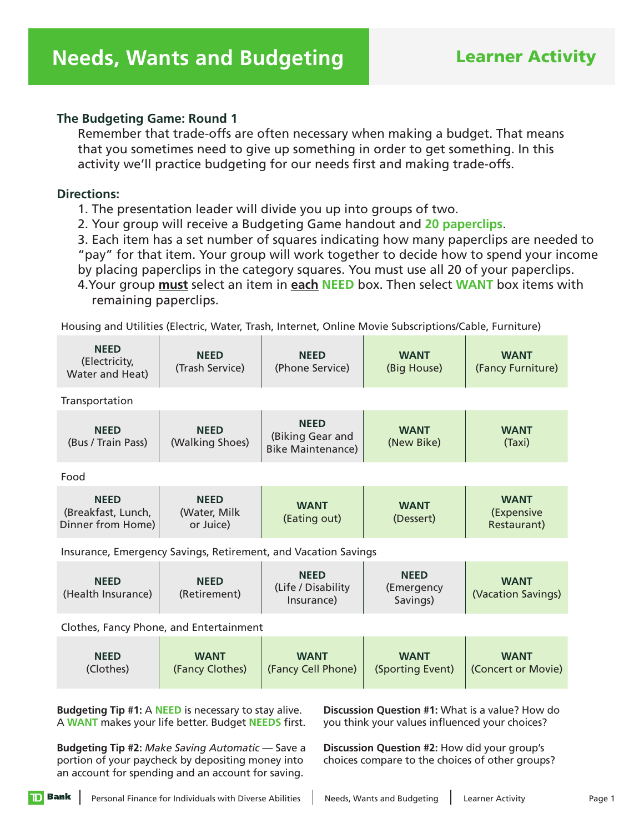### **The Budgeting Game: Round 1**

 Remember that trade-offs are often necessary when making a budget. That means that you sometimes need to give up something in order to get something. In this activity we'll practice budgeting for our needs first and making trade-offs.

### **Directions:**

1. The presentation leader will divide you up into groups of two.

2. Your group will receive a Budgeting Game handout and **20 paperclips**.

3. Each item has a set number of squares indicating how many paperclips are needed to "pay" for that item. Your group will work together to decide how to spend your income by placing paperclips in the category squares. You must use all 20 of your paperclips.

4.Your group **must** select an item in **each NEED** box. Then select **WANT** box items with remaining paperclips.

Housing and Utilities (Electric, Water, Trash, Internet, Online Movie Subscriptions/Cable, Furniture)

| <b>NEED</b><br>(Electricity,<br>Water and Heat)        | <b>NEED</b><br>(Trash Service)                         | <b>NEED</b><br>(Phone Service)                                 | <b>WANT</b><br>(Big House)            | <b>WANT</b><br>(Fancy Furniture)         |  |
|--------------------------------------------------------|--------------------------------------------------------|----------------------------------------------------------------|---------------------------------------|------------------------------------------|--|
| Transportation                                         |                                                        |                                                                |                                       |                                          |  |
| <b>NEED</b><br>(Bus / Train Pass)                      | <b>NEED</b><br>(Walking Shoes)                         | <b>NEED</b><br>(Biking Gear and<br><b>Bike Maintenance)</b>    | <b>WANT</b><br>(New Bike)             | <b>WANT</b><br>(Taxi)                    |  |
| Food                                                   |                                                        |                                                                |                                       |                                          |  |
| <b>NEED</b><br>(Breakfast, Lunch,<br>Dinner from Home) | <b>NEED</b><br>(Water, Milk<br>or Juice)               | <b>WANT</b><br>(Eating out)                                    | <b>WANT</b><br>(Dessert)              | <b>WANT</b><br>(Expensive<br>Restaurant) |  |
|                                                        |                                                        | Insurance, Emergency Savings, Retirement, and Vacation Savings |                                       |                                          |  |
| <b>NEED</b><br>(Health Insurance)                      | <b>NEED</b><br>(Retirement)                            | <b>NEED</b><br>(Life / Disability<br>Insurance)                | <b>NEED</b><br>(Emergency<br>Savings) | <b>WANT</b><br>(Vacation Savings)        |  |
|                                                        |                                                        |                                                                |                                       |                                          |  |
| <b>NEED</b>                                            | Clothes, Fancy Phone, and Entertainment<br><b>MANT</b> |                                                                | <b>MANT</b>                           | <b>MANT</b>                              |  |

| <b>NEED</b> | <b>WANT</b>     | <b>WANT</b>        | <b>WANT</b> | <b>WANT</b>                                                   |
|-------------|-----------------|--------------------|-------------|---------------------------------------------------------------|
| (Clothes)   | (Fancy Clothes) | (Fancy Cell Phone) |             | $\left($ Sporting Event $\right)$ $\left($ (Concert or Movie) |

**Budgeting Tip #1:** A **NEED** is necessary to stay alive. A **WANT** makes your life better. Budget **NEEDS** first.

**Discussion Question #1:** What is a value? How do you think your values influenced your choices?

**Budgeting Tip #2:** *Make Saving Automatic* — Save a portion of your paycheck by depositing money into an account for spending and an account for saving.

**Discussion Question #2:** How did your group's choices compare to the choices of other groups?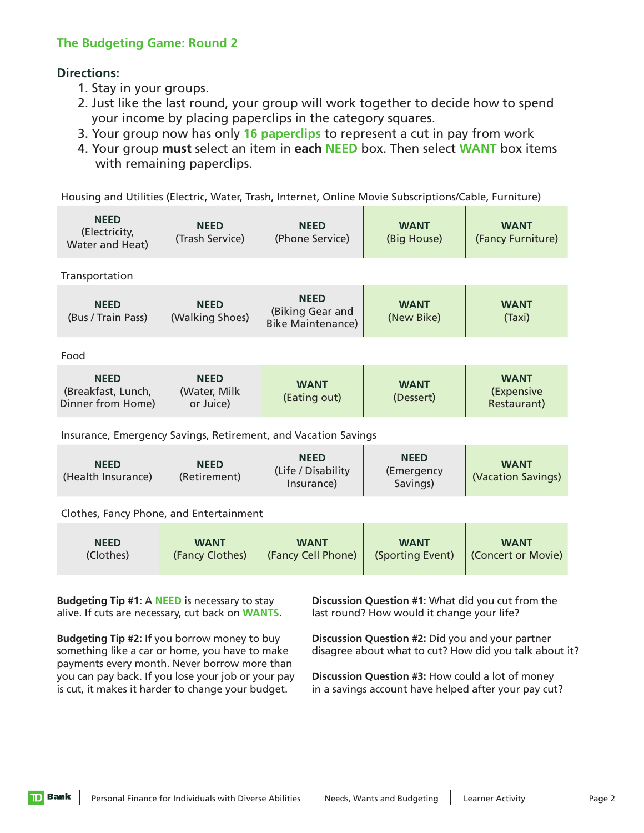## **Lesson The Budgeting Game: Round 2**

# **1 Directions:**

- 1. Stay in your groups.
- 2. Just like the last round, your group will work together to decide how to spend your income by placing paperclips in the category squares.
- 3. Your group now has only **16 paperclips** to represent a cut in pay from work
- 4. Your group **must** select an item in **each NEED** box. Then select **WANT** box items with remaining paperclips.

Housing and Utilities (Electric, Water, Trash, Internet, Online Movie Subscriptions/Cable, Furniture)

| <b>NEED</b><br>(Electricity,<br>Water and Heat)        | <b>NEED</b><br>(Trash Service)                                                                  | <b>NEED</b><br>(Phone Service)                                 | <b>WANT</b><br>(Big House)            | <b>WANT</b><br>(Fancy Furniture)         |  |
|--------------------------------------------------------|-------------------------------------------------------------------------------------------------|----------------------------------------------------------------|---------------------------------------|------------------------------------------|--|
| Transportation                                         |                                                                                                 |                                                                |                                       |                                          |  |
| <b>NEED</b><br>(Bus / Train Pass)                      | <b>NEED</b><br>(Walking Shoes)                                                                  | <b>NEED</b><br>(Biking Gear and<br><b>Bike Maintenance)</b>    | <b>WANT</b><br>(New Bike)             | <b>WANT</b><br>(Taxi)                    |  |
| Food                                                   |                                                                                                 |                                                                |                                       |                                          |  |
| <b>NEED</b><br>(Breakfast, Lunch,<br>Dinner from Home) | <b>NEED</b><br>(Water, Milk<br>or Juice)                                                        | <b>WANT</b><br>(Eating out)                                    | <b>WANT</b><br>(Dessert)              | <b>WANT</b><br>(Expensive<br>Restaurant) |  |
|                                                        |                                                                                                 | Insurance, Emergency Savings, Retirement, and Vacation Savings |                                       |                                          |  |
| <b>NEED</b><br>(Health Insurance)                      | <b>NEED</b><br>(Retirement)                                                                     | <b>NEED</b><br>(Life / Disability<br>Insurance)                | <b>NEED</b><br>(Emergency<br>Savings) | <b>WANT</b><br>(Vacation Savings)        |  |
|                                                        |                                                                                                 |                                                                |                                       |                                          |  |
| <b>NEED</b><br>(Clothes)                               | Clothes, Fancy Phone, and Entertainment<br><b>WANT</b><br>(Fancy Clothes)<br>(Fancy Cell Phone) |                                                                | <b>WANT</b><br>(Sporting Event)       | <b>WANT</b><br>(Concert or Movie)        |  |

**Budgeting Tip #1:** A **NEED** is necessary to stay alive. If cuts are necessary, cut back on **WANTS**.

**Budgeting Tip #2:** If you borrow money to buy something like a car or home, you have to make payments every month. Never borrow more than you can pay back. If you lose your job or your pay is cut, it makes it harder to change your budget.

**Discussion Question #1:** What did you cut from the last round? How would it change your life?

**Discussion Question #2:** Did you and your partner disagree about what to cut? How did you talk about it?

**Discussion Question #3:** How could a lot of money in a savings account have helped after your pay cut?